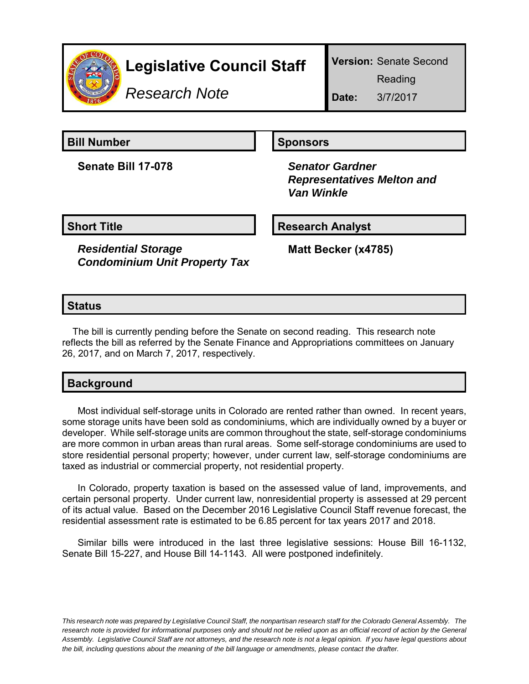

## **Legislative Council Staff**

**Version:** Senate Second

Reading

*Research Note*

**Date:** 3/7/2017

**Senate Bill 17-078** *Senator Gardner*

## **Bill Number Sponsors**

 *Representatives Melton and Van Winkle*

**Short Title Community Community Community Research Analyst** 

*Residential Storage Condominium Unit Property Tax* **Matt Becker (x4785)**

## **Status**

The bill is currently pending before the Senate on second reading. This research note reflects the bill as referred by the Senate Finance and Appropriations committees on January 26, 2017, and on March 7, 2017, respectively.

| <b>Background</b> |
|-------------------|
|-------------------|

Most individual self-storage units in Colorado are rented rather than owned. In recent years, some storage units have been sold as condominiums, which are individually owned by a buyer or developer. While self-storage units are common throughout the state, self-storage condominiums are more common in urban areas than rural areas. Some self-storage condominiums are used to store residential personal property; however, under current law, self-storage condominiums are taxed as industrial or commercial property, not residential property.

In Colorado, property taxation is based on the assessed value of land, improvements, and certain personal property. Under current law, nonresidential property is assessed at 29 percent of its actual value. Based on the December 2016 Legislative Council Staff revenue forecast, the residential assessment rate is estimated to be 6.85 percent for tax years 2017 and 2018.

Similar bills were introduced in the last three legislative sessions: House Bill 16-1132, Senate Bill 15-227, and House Bill 14-1143. All were postponed indefinitely.

*This research note was prepared by Legislative Council Staff, the nonpartisan research staff for the Colorado General Assembly. The research note is provided for informational purposes only and should not be relied upon as an official record of action by the General Assembly. Legislative Council Staff are not attorneys, and the research note is not a legal opinion. If you have legal questions about the bill, including questions about the meaning of the bill language or amendments, please contact the drafter.*